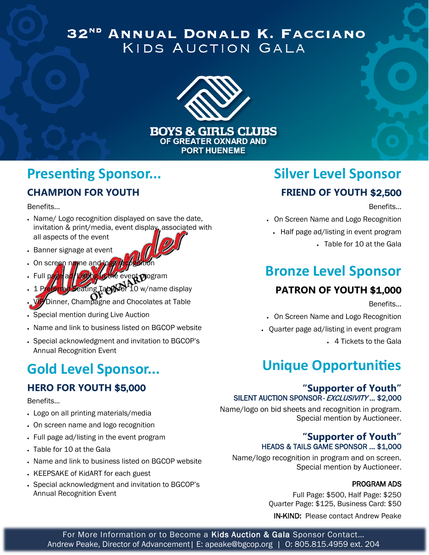### 32ND ANNUAL DONALD K. FACCIANO KIDS AUCTION GALA



**BOYS & GIRLS CLUBS** OF GREATER OXNARD AND **PORT HUENEME** 

# **Presenting Sponsor...**

#### **CHAMPION FOR YOUTH**

Benefits...

- Name/ Logo recognition displayed on save the date, invitation & print/media, event display, associated with all aspects of the event
- Banner signage at event
- On screen name and lo
- event program 1 Preferred Seating Table for 10 w/name display
- **Dinner, Champagne and Chocolates at Table**
- Special mention during Live Auction
- Name and link to business listed on BGCOP website
- Special acknowledgment and invitation to BGCOP's Annual Recognition Event

# **Gold Level Sponsor...**

### **HERO FOR YOUTH** \$5,000

#### Benefits...

- Logo on all printing materials/media
- On screen name and logo recognition
- Full page ad/listing in the event program
- Table for 10 at the Gala
- Name and link to business listed on BGCOP website
- KEEPSAKE of KidART for each guest
- Special acknowledgment and invitation to BGCOP's Annual Recognition Event

## **Silver Level Sponsor FRIEND OF YOUTH** \$2,500

Benefits...

• On Screen Name and Logo Recognition

• Half page ad/listing in event program

• Table for 10 at the Gala

## **Bronze Level Sponsor**

### **PATRON OF YOUTH** \$1,000

Benefits...

• On Screen Name and Logo Recognition

• Quarter page ad/listing in event program

• 4 Tickets to the Gala

## **Unique Opportunities**

#### **"Supporter of Youth"**  SILENT AUCTION SPONSOR- EXCLUSIVITY ... \$2,000

Name/logo on bid sheets and recognition in program. Special mention by Auctioneer.

#### **"Supporter of Youth"**  HEADS & TAILS GAME SPONSOR … \$1,000

Name/logo recognition in program and on screen. Special mention by Auctioneer.

#### PROGRAM ADS

Full Page: \$500, Half Page: \$250 Quarter Page: \$125, Business Card: \$50

IN-KIND: Please contact Andrew Peake